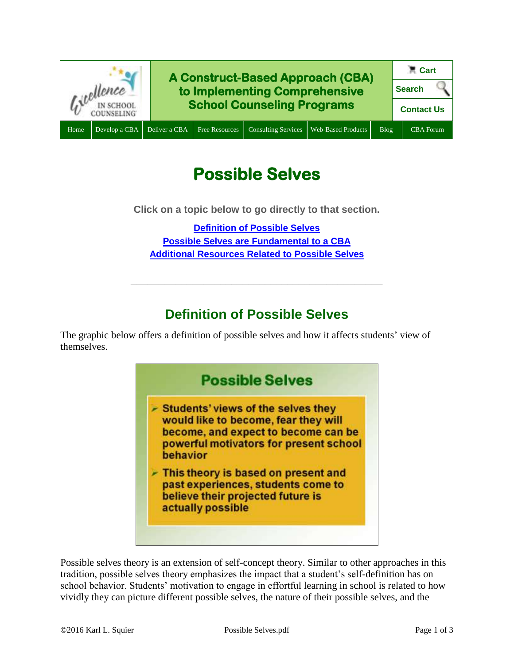

# **Possible Selves**

**Click on a topic below to go directly to that section.**

**[Definition of Possible Selves](#page-0-0) Possible Selves are [Fundamental to a CBA](#page-1-0) [Additional Resources Related to Possible Selves](#page-1-1)**

## **Definition of Possible Selves**

**\_\_\_\_\_\_\_\_\_\_\_\_\_\_\_\_\_\_\_\_\_\_\_\_\_\_\_\_\_\_\_\_\_\_\_\_\_\_\_\_\_\_\_\_\_**

<span id="page-0-0"></span>The graphic below offers a definition of possible selves and how it affects students' view of themselves.



Possible selves theory is an extension of self-concept theory. Similar to other approaches in this tradition, possible selves theory emphasizes the impact that a student's self-definition has on school behavior. Students' motivation to engage in effortful learning in school is related to how vividly they can picture different possible selves, the nature of their possible selves, and the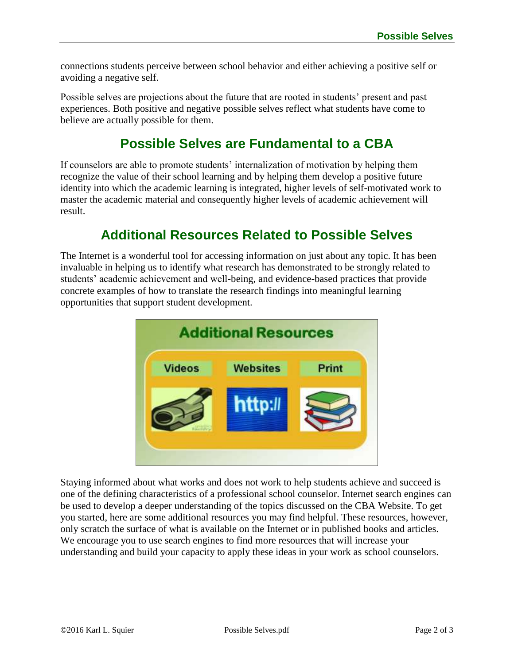connections students perceive between school behavior and either achieving a positive self or avoiding a negative self.

Possible selves are projections about the future that are rooted in students' present and past experiences. Both positive and negative possible selves reflect what students have come to believe are actually possible for them.

## **Possible Selves are Fundamental to a CBA**

<span id="page-1-0"></span>If counselors are able to promote students' internalization of motivation by helping them recognize the value of their school learning and by helping them develop a positive future identity into which the academic learning is integrated, higher levels of self-motivated work to master the academic material and consequently higher levels of academic achievement will result.

### **Additional Resources Related to Possible Selves**

<span id="page-1-1"></span>The Internet is a wonderful tool for accessing information on just about any topic. It has been invaluable in helping us to identify what research has demonstrated to be strongly related to students' academic achievement and well-being, and evidence-based practices that provide concrete examples of how to translate the research findings into meaningful learning opportunities that support student development.



Staying informed about what works and does not work to help students achieve and succeed is one of the defining characteristics of a professional school counselor. Internet search engines can be used to develop a deeper understanding of the topics discussed on the CBA Website. To get you started, here are some additional resources you may find helpful. These resources, however, only scratch the surface of what is available on the Internet or in published books and articles. We encourage you to use search engines to find more resources that will increase your understanding and build your capacity to apply these ideas in your work as school counselors.